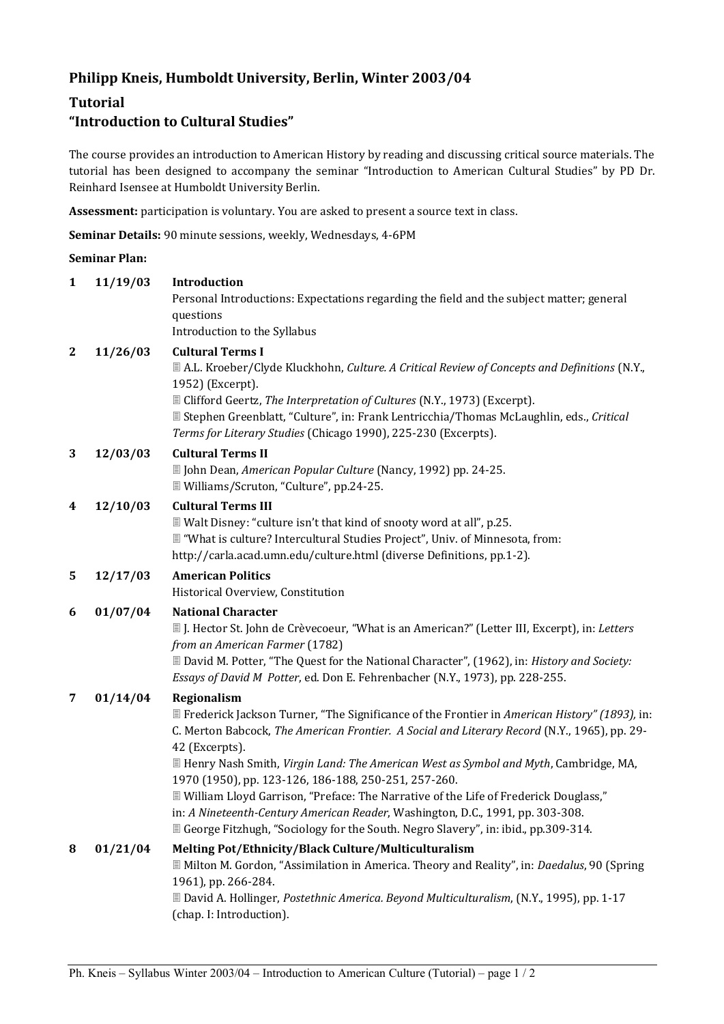# **Philipp Kneis, Humboldt University, Berlin, Winter 2003/04**

# **Tutorial**

# **"Introduction to Cultural Studies"**

The course provides an introduction to American History by reading and discussing critical source materials. The tutorial has been designed to accompany the seminar "Introduction to American Cultural Studies" by PD Dr. Reinhard Isensee at Humboldt University Berlin.

**Assessment:** participation is voluntary. You are asked to present a source text in class.

**Seminar Details:** 90 minute sessions, weekly, Wednesdays, 4-6PM

#### **Seminar Plan:**

| $\mathbf{1}$ | 11/19/03 | Introduction<br>Personal Introductions: Expectations regarding the field and the subject matter; general                                                                                                                                                                                                                                                                                                                                                                                                                                                                                                                                                          |
|--------------|----------|-------------------------------------------------------------------------------------------------------------------------------------------------------------------------------------------------------------------------------------------------------------------------------------------------------------------------------------------------------------------------------------------------------------------------------------------------------------------------------------------------------------------------------------------------------------------------------------------------------------------------------------------------------------------|
|              |          | questions<br>Introduction to the Syllabus                                                                                                                                                                                                                                                                                                                                                                                                                                                                                                                                                                                                                         |
| 2            | 11/26/03 | <b>Cultural Terms I</b><br>■ A.L. Kroeber/Clyde Kluckhohn, Culture. A Critical Review of Concepts and Definitions (N.Y.,<br>1952) (Excerpt).<br>■ Clifford Geertz, The Interpretation of Cultures (N.Y., 1973) (Excerpt).<br>■ Stephen Greenblatt, "Culture", in: Frank Lentricchia/Thomas McLaughlin, eds., Critical<br>Terms for Literary Studies (Chicago 1990), 225-230 (Excerpts).                                                                                                                                                                                                                                                                           |
| 3            | 12/03/03 | <b>Cultural Terms II</b><br>■ John Dean, American Popular Culture (Nancy, 1992) pp. 24-25.<br>■ Williams/Scruton, "Culture", pp.24-25.                                                                                                                                                                                                                                                                                                                                                                                                                                                                                                                            |
| 4            | 12/10/03 | <b>Cultural Terms III</b><br>■ Walt Disney: "culture isn't that kind of snooty word at all", p.25.<br>■ "What is culture? Intercultural Studies Project", Univ. of Minnesota, from:<br>http://carla.acad.umn.edu/culture.html (diverse Definitions, pp.1-2).                                                                                                                                                                                                                                                                                                                                                                                                      |
| 5            | 12/17/03 | <b>American Politics</b><br>Historical Overview, Constitution                                                                                                                                                                                                                                                                                                                                                                                                                                                                                                                                                                                                     |
| 6            | 01/07/04 | <b>National Character</b><br>I. Hector St. John de Crèvecoeur, "What is an American?" (Letter III, Excerpt), in: Letters<br>from an American Farmer (1782)<br>■ David M. Potter, "The Quest for the National Character", (1962), in: History and Society:<br>Essays of David M Potter, ed. Don E. Fehrenbacher (N.Y., 1973), pp. 228-255.                                                                                                                                                                                                                                                                                                                         |
| 7            | 01/14/04 | Regionalism<br><b>■ Frederick Jackson Turner, "The Significance of the Frontier in American History" (1893), in:</b><br>C. Merton Babcock, The American Frontier. A Social and Literary Record (N.Y., 1965), pp. 29-<br>42 (Excerpts).<br><b>If Henry Nash Smith, Virgin Land: The American West as Symbol and Myth, Cambridge, MA,</b><br>1970 (1950), pp. 123-126, 186-188, 250-251, 257-260.<br>I William Lloyd Garrison, "Preface: The Narrative of the Life of Frederick Douglass,"<br>in: A Nineteenth-Century American Reader, Washington, D.C., 1991, pp. 303-308.<br>■ George Fitzhugh, "Sociology for the South. Negro Slavery", in: ibid., pp.309-314. |
| 8            | 01/21/04 | Melting Pot/Ethnicity/Black Culture/Multiculturalism<br>I Milton M. Gordon, "Assimilation in America. Theory and Reality", in: Daedalus, 90 (Spring<br>1961), pp. 266-284.<br>■ David A. Hollinger, Postethnic America. Beyond Multiculturalism, (N.Y., 1995), pp. 1-17<br>(chap. I: Introduction).                                                                                                                                                                                                                                                                                                                                                               |